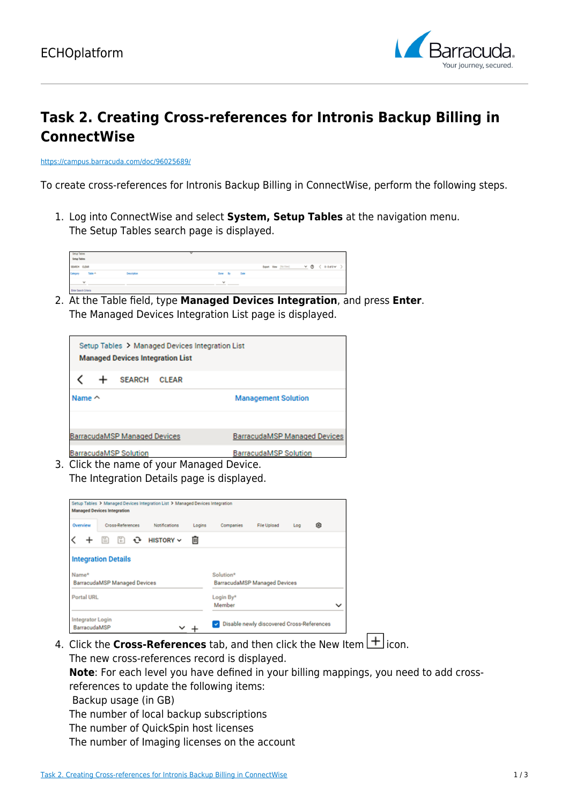

## **Task 2. Creating Cross-references for Intronis Backup Billing in ConnectWise**

<https://campus.barracuda.com/doc/96025689/>

To create cross-references for Intronis Backup Billing in ConnectWise, perform the following steps.

1. Log into ConnectWise and select **System, Setup Tables** at the navigation menu. The Setup Tables search page is displayed.



2. At the Table field, type **Managed Devices Integration**, and press **Enter**. The Managed Devices Integration List page is displayed.

| Setup Tables > Managed Devices Integration List<br><b>Managed Devices Integration List</b> |  |                              |              |                                     |  |  |  |  |
|--------------------------------------------------------------------------------------------|--|------------------------------|--------------|-------------------------------------|--|--|--|--|
|                                                                                            |  | <b>SEARCH</b>                | <b>CLEAR</b> |                                     |  |  |  |  |
| Name $\sim$                                                                                |  |                              |              | <b>Management Solution</b>          |  |  |  |  |
|                                                                                            |  |                              |              |                                     |  |  |  |  |
| <b>BarracudaMSP Managed Devices</b>                                                        |  |                              |              | <b>BarracudaMSP Managed Devices</b> |  |  |  |  |
|                                                                                            |  | <b>BarracudaMSP Solution</b> |              | <b>BarracudaMSP Solution</b>        |  |  |  |  |

3. Click the name of your Managed Device. The Integration Details page is displayed.

| Setup Tables > Managed Devices Integration List > Managed Devices Integration<br><b>Managed Devices Integration</b> |                                     |                  |        |                                                  |                    |     |   |             |  |  |  |
|---------------------------------------------------------------------------------------------------------------------|-------------------------------------|------------------|--------|--------------------------------------------------|--------------------|-----|---|-------------|--|--|--|
| Overview                                                                                                            | Cross-References                    | Notifications    | Logins | Companies                                        | <b>File Upload</b> | Log | ⊛ |             |  |  |  |
|                                                                                                                     | ≌<br>m                              | <b>HISTORY V</b> | ▥      |                                                  |                    |     |   |             |  |  |  |
|                                                                                                                     | <b>Integration Details</b>          |                  |        |                                                  |                    |     |   |             |  |  |  |
| Name*                                                                                                               | <b>BarracudaMSP Managed Devices</b> |                  |        | Solution*<br><b>BarracudaMSP Managed Devices</b> |                    |     |   |             |  |  |  |
| Portal URL                                                                                                          |                                     |                  |        | Login By*<br>Member                              |                    |     |   | $\check{ }$ |  |  |  |
| <b>Integrator Login</b><br>BarracudaMSP                                                                             |                                     |                  |        | Disable newly discovered Cross-References        |                    |     |   |             |  |  |  |

4. Click the **Cross-References** tab, and then click the New Item  $\boxed{+}$  icon. The new cross-references record is displayed.

**Note**: For each level you have defined in your billing mappings, you need to add crossreferences to update the following items:

Backup usage (in GB)

The number of local backup subscriptions

The number of QuickSpin host licenses

The number of Imaging licenses on the account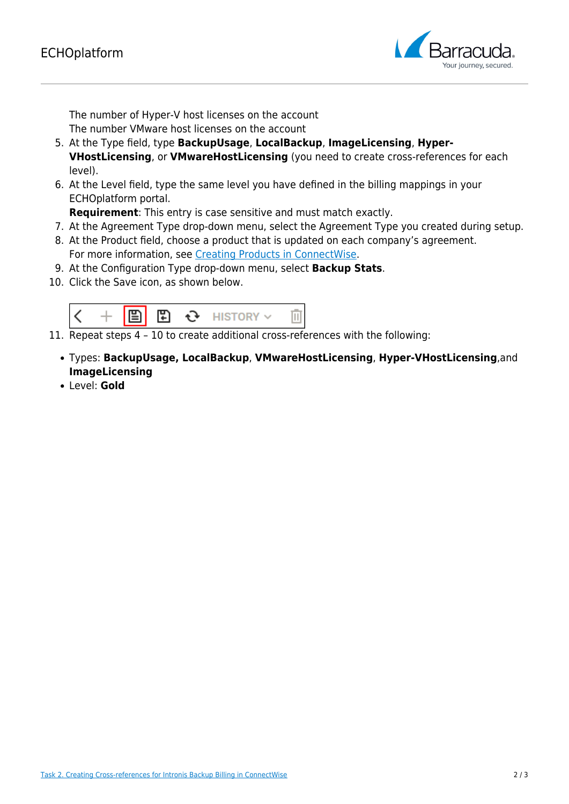

The number of Hyper-V host licenses on the account The number VMware host licenses on the account

- 5. At the Type field, type **BackupUsage**, **LocalBackup**, **ImageLicensing**, **Hyper-VHostLicensing**, or **VMwareHostLicensing** (you need to create cross-references for each level).
- 6. At the Level field, type the same level you have defined in the billing mappings in your ECHOplatform portal.

**Requirement**: This entry is case sensitive and must match exactly.

- 7. At the Agreement Type drop-down menu, select the Agreement Type you created during setup.
- 8. At the Product field, choose a product that is updated on each company's agreement. For more information, see [Creating Products in ConnectWise](http://campus.barracuda.com/doc/96025773/).
- 9. At the Configuration Type drop-down menu, select **Backup Stats**.
- 10. Click the Save icon, as shown below.



11. Repeat steps 4 – 10 to create additional cross-references with the following:

- Types: **BackupUsage, LocalBackup**, **VMwareHostLicensing**, **Hyper-VHostLicensing**,and **ImageLicensing**
- Level: **Gold**